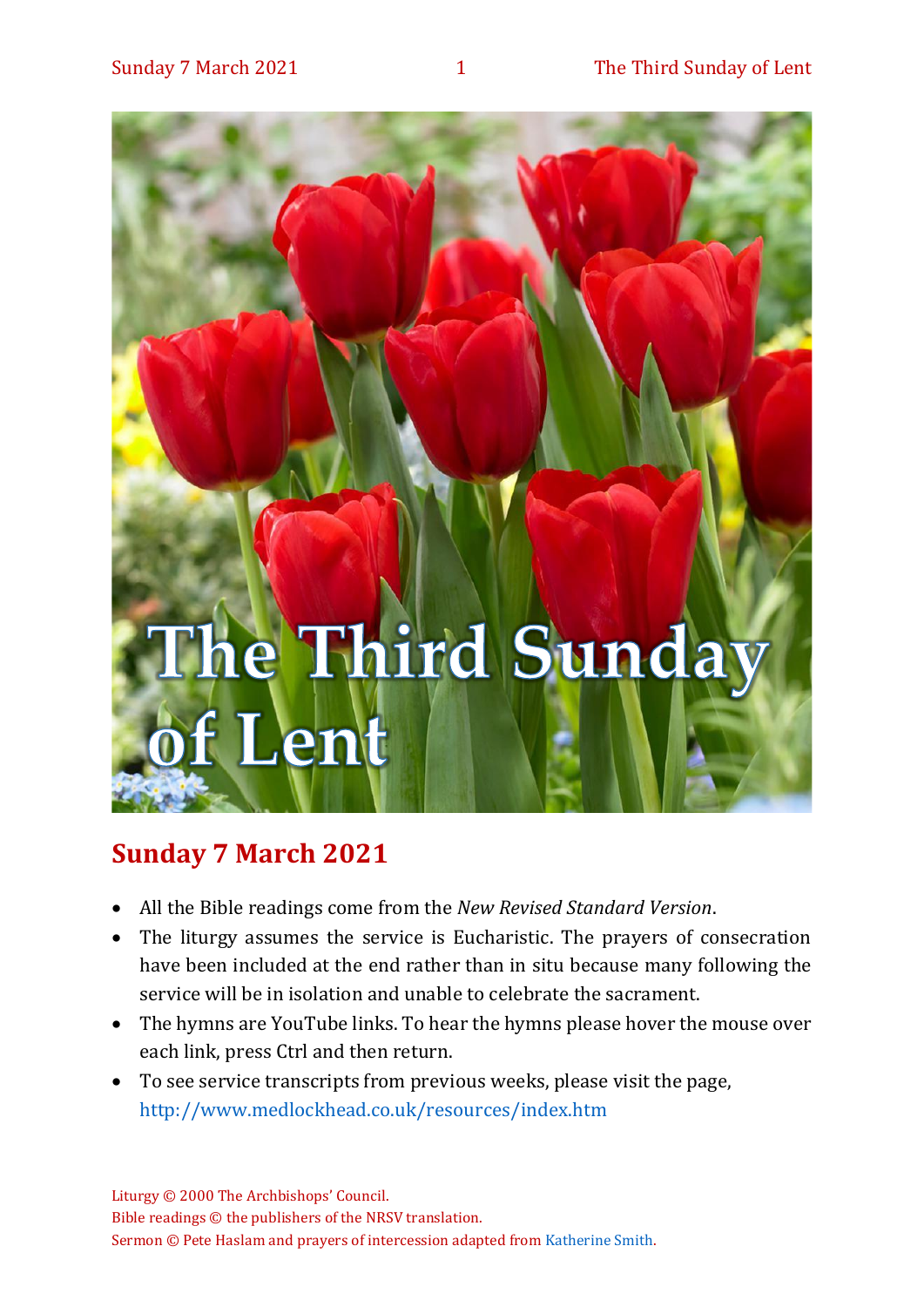

# **Sunday 7 March 2021**

- All the Bible readings come from the *New Revised Standard Version*.
- The liturgy assumes the service is Eucharistic. The prayers of consecration have been included at the end rather than in situ because many following the service will be in isolation and unable to celebrate the sacrament.
- The hymns are YouTube links. To hear the hymns please hover the mouse over each link, press Ctrl and then return.
- To see service transcripts from previous weeks, please visit the page, <http://www.medlockhead.co.uk/resources/index.htm>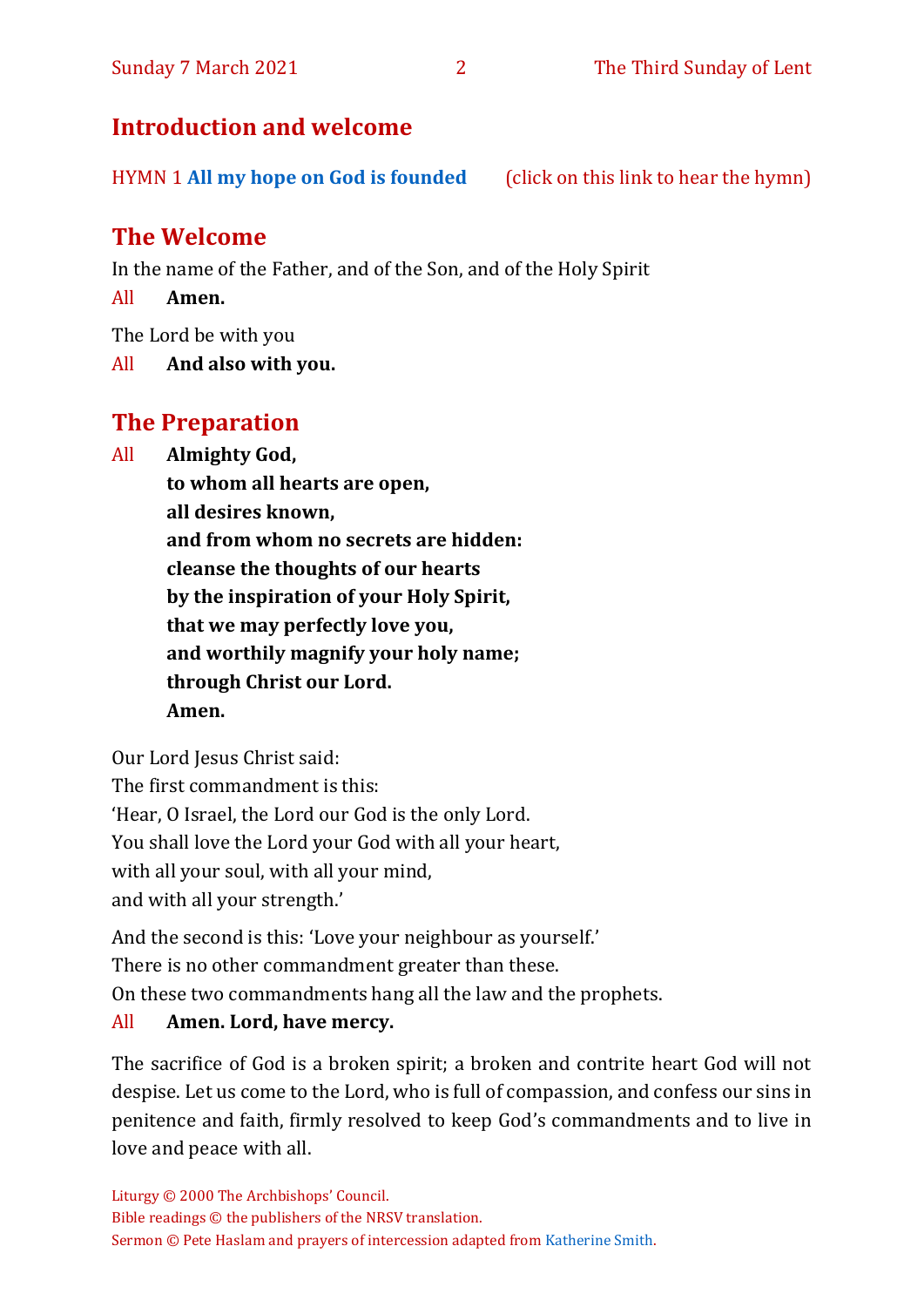# **Introduction and welcome**

HYMN 1 **[All my hope on God is founded](https://www.youtube.com/watch?v=W3LCGh02Vew)** (click on this link to hear the hymn)

# **The Welcome**

In the name of the Father, and of the Son, and of the Holy Spirit

All **Amen.**

The Lord be with you

All **And also with you.**

# **The Preparation**

All **Almighty God,**

**to whom all hearts are open, all desires known, and from whom no secrets are hidden: cleanse the thoughts of our hearts by the inspiration of your Holy Spirit, that we may perfectly love you, and worthily magnify your holy name; through Christ our Lord. Amen.**

Our Lord Jesus Christ said:

The first commandment is this:

'Hear, O Israel, the Lord our God is the only Lord.

You shall love the Lord your God with all your heart,

with all your soul, with all your mind,

and with all your strength.'

And the second is this: 'Love your neighbour as yourself.'

There is no other commandment greater than these.

On these two commandments hang all the law and the prophets.

#### All **Amen. Lord, have mercy.**

The sacrifice of God is a broken spirit; a broken and contrite heart God will not despise. Let us come to the Lord, who is full of compassion, and confess our sins in penitence and faith, firmly resolved to keep God's commandments and to live in love and peace with all.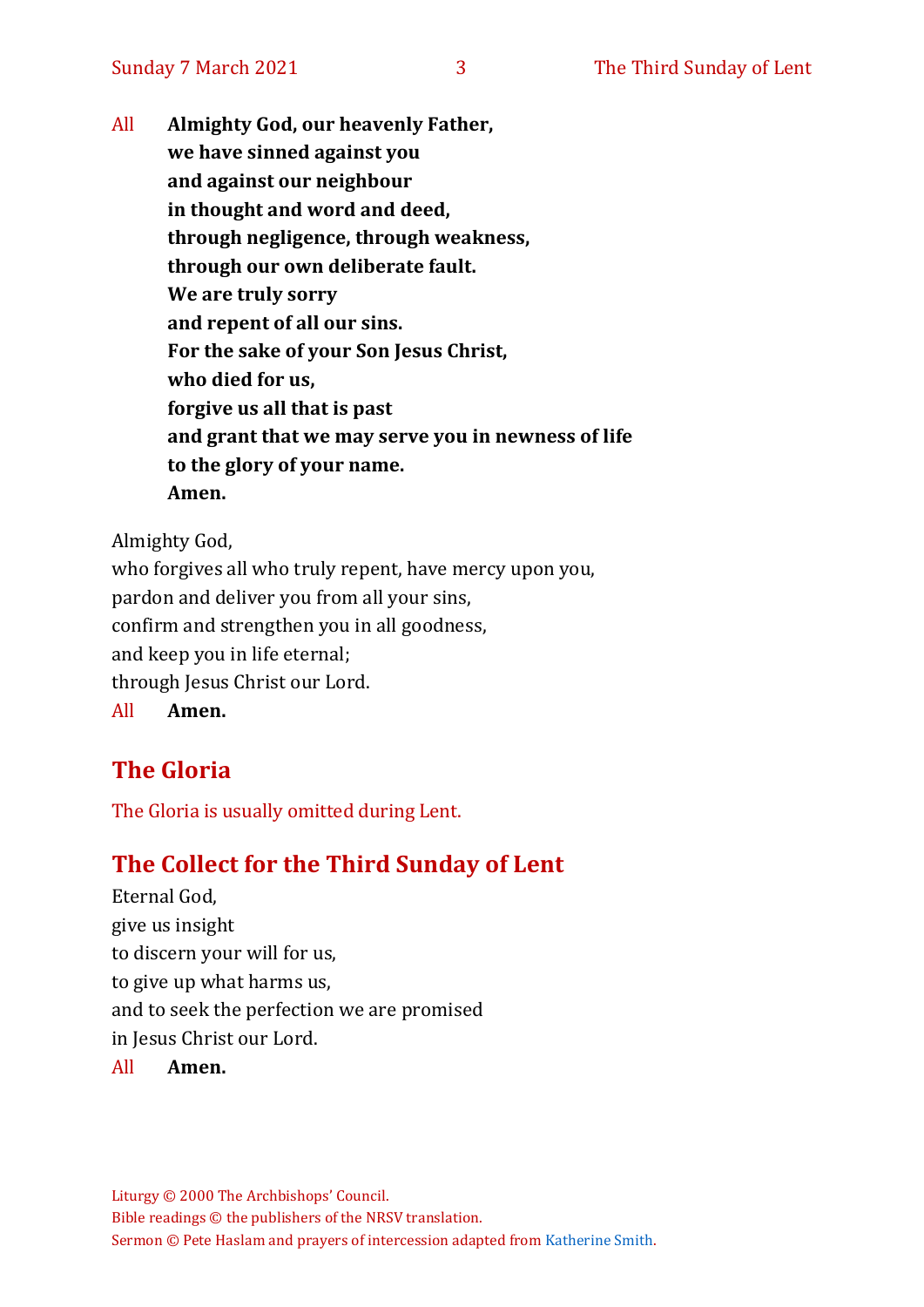All **Almighty God, our heavenly Father, we have sinned against you and against our neighbour in thought and word and deed, through negligence, through weakness, through our own deliberate fault. We are truly sorry and repent of all our sins. For the sake of your Son Jesus Christ, who died for us, forgive us all that is past and grant that we may serve you in newness of life to the glory of your name. Amen.**

Almighty God,

who forgives all who truly repent, have mercy upon you, pardon and deliver you from all your sins, confirm and strengthen you in all goodness, and keep you in life eternal; through Jesus Christ our Lord. All **Amen.**

# **The Gloria**

The Gloria is usually omitted during Lent.

# **The Collect for the Third Sunday of Lent**

Eternal God, give us insight to discern your will for us, to give up what harms us, and to seek the perfection we are promised in Jesus Christ our Lord.

All **Amen.**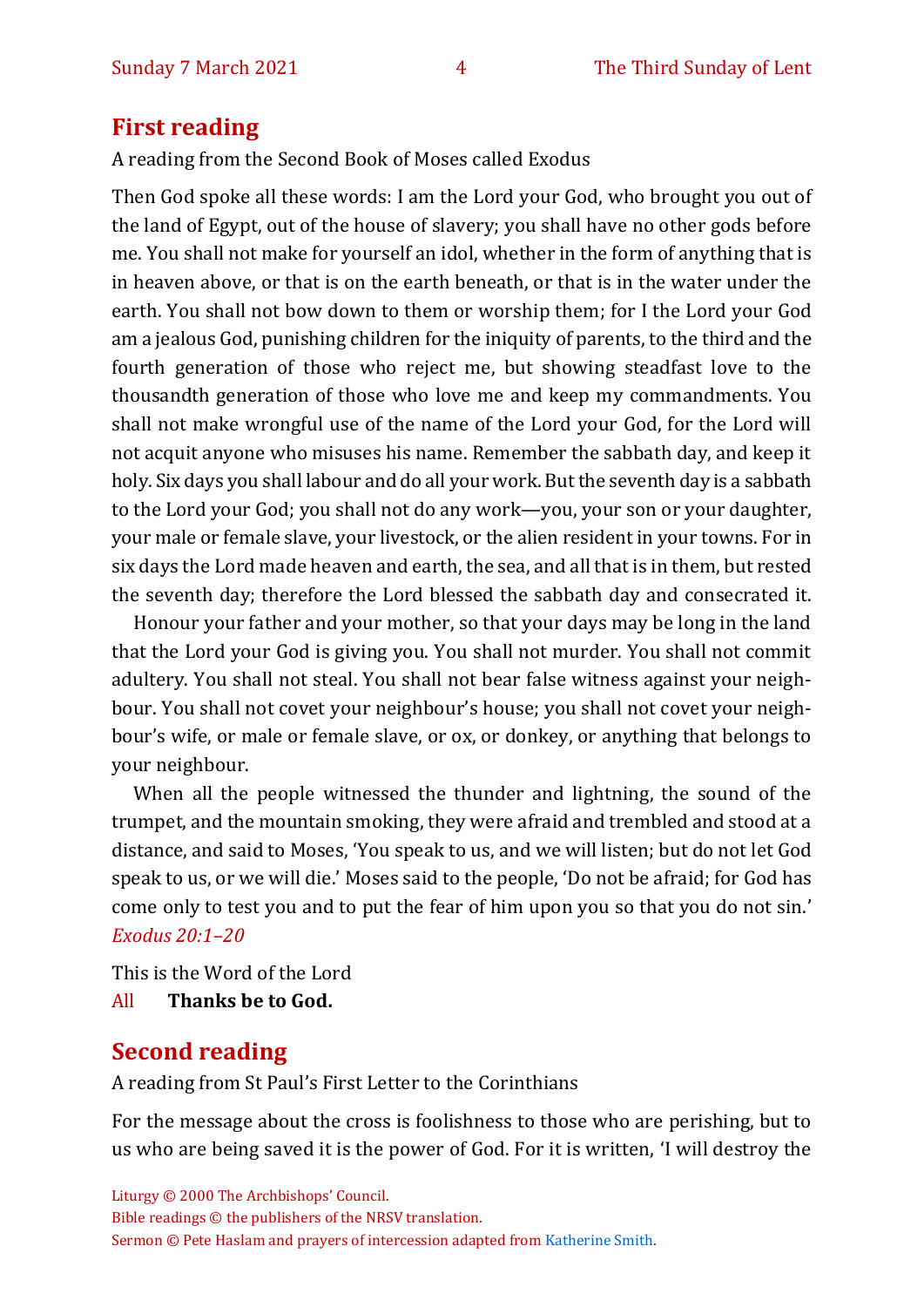# **First reading**

A reading from the Second Book of Moses called Exodus

Then God spoke all these words: I am the Lord your God, who brought you out of the land of Egypt, out of the house of slavery; you shall have no other gods before me. You shall not make for yourself an idol, whether in the form of anything that is in heaven above, or that is on the earth beneath, or that is in the water under the earth. You shall not bow down to them or worship them; for I the Lord your God am a jealous God, punishing children for the iniquity of parents, to the third and the fourth generation of those who reject me, but showing steadfast love to the thousandth generation of those who love me and keep my commandments. You shall not make wrongful use of the name of the Lord your God, for the Lord will not acquit anyone who misuses his name. Remember the sabbath day, and keep it holy. Six days you shall labour and do all your work. But the seventh day is a sabbath to the Lord your God; you shall not do any work—you, your son or your daughter, your male or female slave, your livestock, or the alien resident in your towns. For in six days the Lord made heaven and earth, the sea, and all that is in them, but rested the seventh day; therefore the Lord blessed the sabbath day and consecrated it.

Honour your father and your mother, so that your days may be long in the land that the Lord your God is giving you. You shall not murder. You shall not commit adultery. You shall not steal. You shall not bear false witness against your neighbour. You shall not covet your neighbour's house; you shall not covet your neighbour's wife, or male or female slave, or ox, or donkey, or anything that belongs to your neighbour.

When all the people witnessed the thunder and lightning, the sound of the trumpet, and the mountain smoking, they were afraid and trembled and stood at a distance, and said to Moses, 'You speak to us, and we will listen; but do not let God speak to us, or we will die.' Moses said to the people, 'Do not be afraid; for God has come only to test you and to put the fear of him upon you so that you do not sin.' *Exodus 20:1–20*

This is the Word of the Lord

All **Thanks be to God.**

# **Second reading**

A reading from St Paul's First Letter to the Corinthians

For the message about the cross is foolishness to those who are perishing, but to us who are being saved it is the power of God. For it is written, 'I will destroy the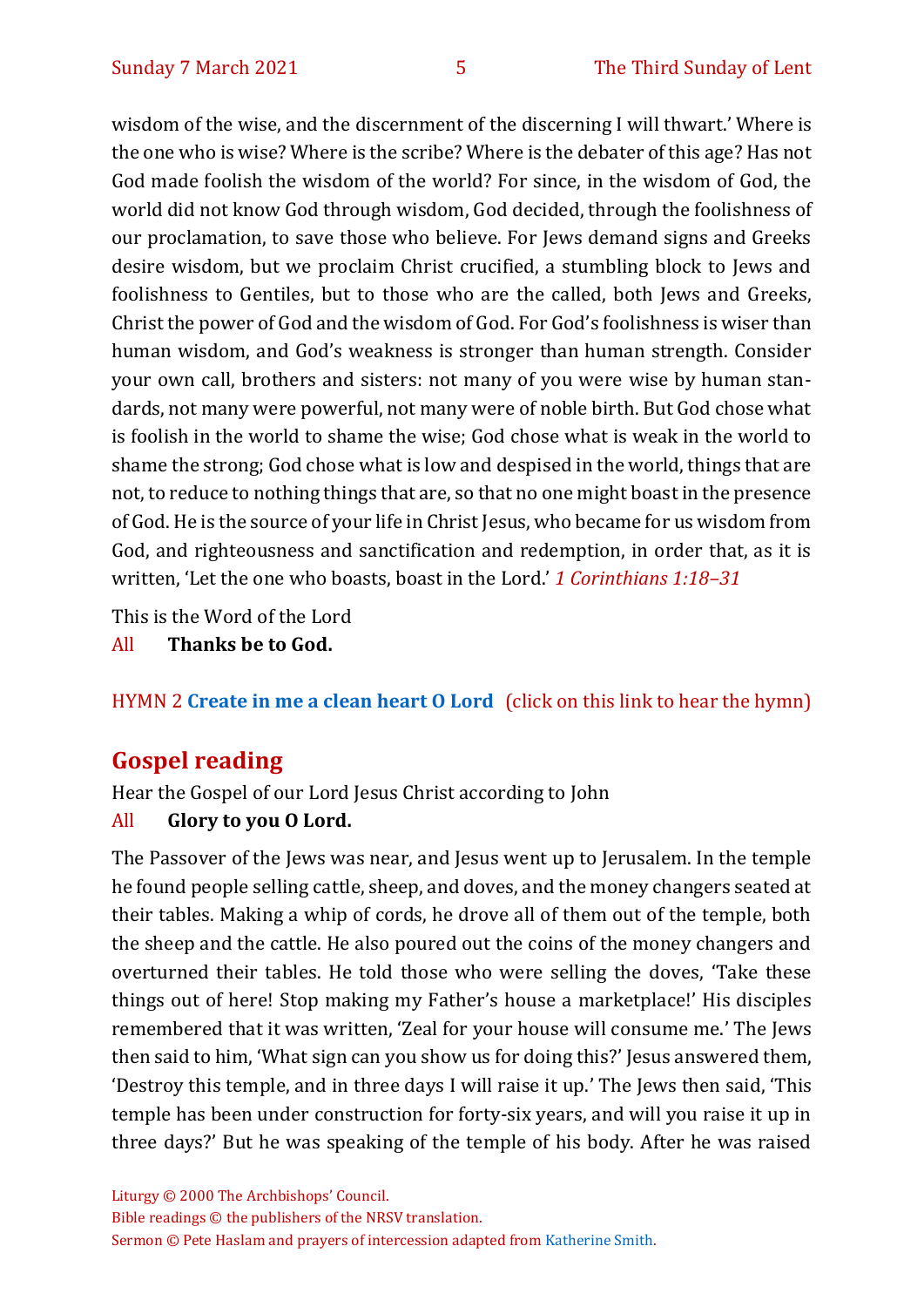wisdom of the wise, and the discernment of the discerning I will thwart.' Where is the one who is wise? Where is the scribe? Where is the debater of this age? Has not God made foolish the wisdom of the world? For since, in the wisdom of God, the world did not know God through wisdom, God decided, through the foolishness of our proclamation, to save those who believe. For Jews demand signs and Greeks desire wisdom, but we proclaim Christ crucified, a stumbling block to Jews and foolishness to Gentiles, but to those who are the called, both Jews and Greeks, Christ the power of God and the wisdom of God. For God's foolishness is wiser than human wisdom, and God's weakness is stronger than human strength. Consider your own call, brothers and sisters: not many of you were wise by human standards, not many were powerful, not many were of noble birth. But God chose what is foolish in the world to shame the wise; God chose what is weak in the world to shame the strong; God chose what is low and despised in the world, things that are not, to reduce to nothing things that are, so that no one might boast in the presence of God. He is the source of your life in Christ Jesus, who became for us wisdom from God, and righteousness and sanctification and redemption, in order that, as it is written, 'Let the one who boasts, boast in the Lord.' *1 Corinthians 1:18–31*

This is the Word of the Lord

#### All **Thanks be to God.**

# HYMN 2 **[Create in me a clean heart O Lord](https://www.youtube.com/watch?v=mM7UAM0xsN4)** (click on this link to hear the hymn)

# **Gospel reading**

Hear the Gospel of our Lord Jesus Christ according to John

#### All **Glory to you O Lord.**

The Passover of the Jews was near, and Jesus went up to Jerusalem. In the temple he found people selling cattle, sheep, and doves, and the money changers seated at their tables. Making a whip of cords, he drove all of them out of the temple, both the sheep and the cattle. He also poured out the coins of the money changers and overturned their tables. He told those who were selling the doves, 'Take these things out of here! Stop making my Father's house a marketplace!' His disciples remembered that it was written, 'Zeal for your house will consume me.' The Jews then said to him, 'What sign can you show us for doing this?' Jesus answered them, 'Destroy this temple, and in three days I will raise it up.' The Jews then said, 'This temple has been under construction for forty-six years, and will you raise it up in three days?' But he was speaking of the temple of his body. After he was raised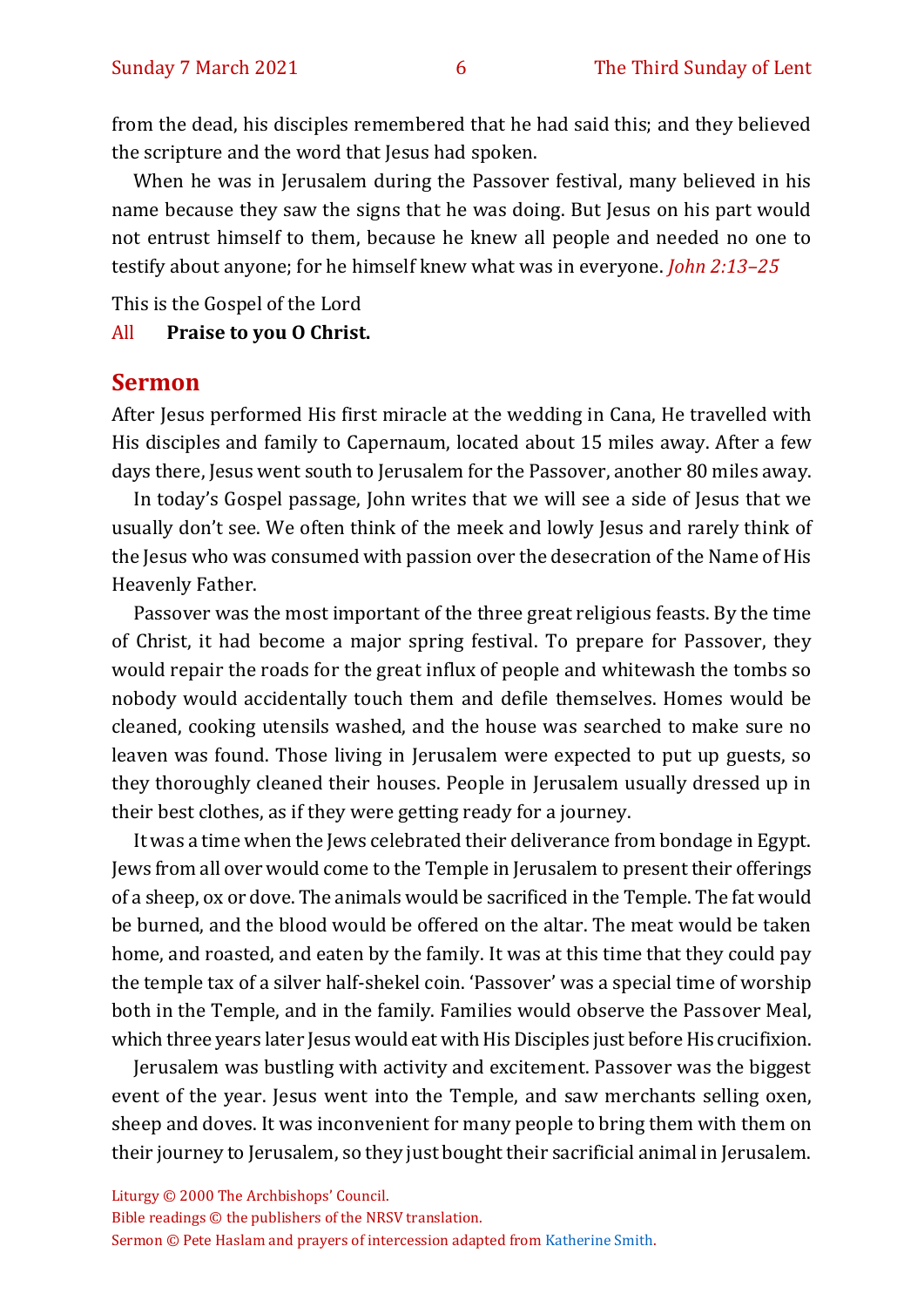from the dead, his disciples remembered that he had said this; and they believed the scripture and the word that Jesus had spoken.

When he was in Jerusalem during the Passover festival, many believed in his name because they saw the signs that he was doing. But Jesus on his part would not entrust himself to them, because he knew all people and needed no one to testify about anyone; for he himself knew what was in everyone. *John 2:13–25*

This is the Gospel of the Lord

All **Praise to you O Christ.** 

#### **Sermon**

After Jesus performed His first miracle at the wedding in Cana, He travelled with His disciples and family to Capernaum, located about 15 miles away. After a few days there, Jesus went south to Jerusalem for the Passover, another 80 miles away.

In today's Gospel passage, John writes that we will see a side of Jesus that we usually don't see. We often think of the meek and lowly Jesus and rarely think of the Jesus who was consumed with passion over the desecration of the Name of His Heavenly Father.

Passover was the most important of the three great religious feasts. By the time of Christ, it had become a major spring festival. To prepare for Passover, they would repair the roads for the great influx of people and whitewash the tombs so nobody would accidentally touch them and defile themselves. Homes would be cleaned, cooking utensils washed, and the house was searched to make sure no leaven was found. Those living in Jerusalem were expected to put up guests, so they thoroughly cleaned their houses. People in Jerusalem usually dressed up in their best clothes, as if they were getting ready for a journey.

It was a time when the Jews celebrated their deliverance from bondage in Egypt. Jews from all over would come to the Temple in Jerusalem to present their offerings of a sheep, ox or dove. The animals would be sacrificed in the Temple. The fat would be burned, and the blood would be offered on the altar. The meat would be taken home, and roasted, and eaten by the family. It was at this time that they could pay the temple tax of a silver half-shekel coin. 'Passover' was a special time of worship both in the Temple, and in the family. Families would observe the Passover Meal, which three years later Jesus would eat with His Disciples just before His crucifixion.

Jerusalem was bustling with activity and excitement. Passover was the biggest event of the year. Jesus went into the Temple, and saw merchants selling oxen, sheep and doves. It was inconvenient for many people to bring them with them on their journey to Jerusalem, so they just bought their sacrificial animal in Jerusalem.

Liturgy © 2000 The Archbishops' Council.

Bible readings © the publishers of the NRSV translation.

Sermon © Pete Haslam and prayers of intercession adapted fro[m Katherine Smith.](https://www.katharinesmith.org.uk/common-worship-lectionary/year-a-lent/sermon-and-intercessions-for-the-third-sunday-of-lent-year-a-john-45-42-jesus-said-the-water-i-will-give-will-become-in-them-a-spring-of-water-gushing-up-to-eternal-life/)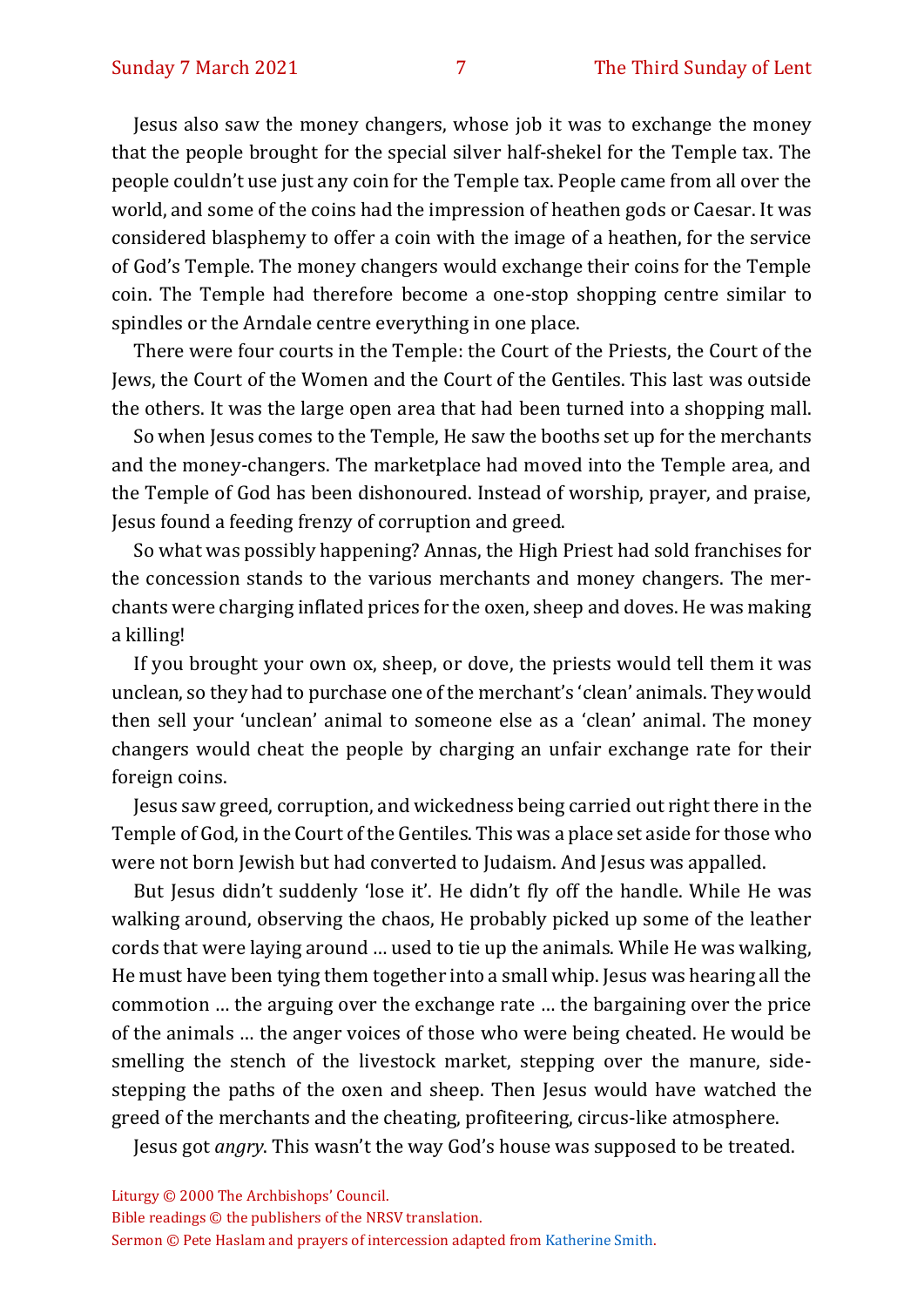Jesus also saw the money changers, whose job it was to exchange the money that the people brought for the special silver half-shekel for the Temple tax. The people couldn't use just any coin for the Temple tax. People came from all over the world, and some of the coins had the impression of heathen gods or Caesar. It was considered blasphemy to offer a coin with the image of a heathen, for the service of God's Temple. The money changers would exchange their coins for the Temple coin. The Temple had therefore become a one-stop shopping centre similar to spindles or the Arndale centre everything in one place.

There were four courts in the Temple: the Court of the Priests, the Court of the Jews, the Court of the Women and the Court of the Gentiles. This last was outside the others. It was the large open area that had been turned into a shopping mall.

So when Jesus comes to the Temple, He saw the booths set up for the merchants and the money-changers. The marketplace had moved into the Temple area, and the Temple of God has been dishonoured. Instead of worship, prayer, and praise, Jesus found a feeding frenzy of corruption and greed.

So what was possibly happening? Annas, the High Priest had sold franchises for the concession stands to the various merchants and money changers. The merchants were charging inflated prices for the oxen, sheep and doves. He was making a killing!

If you brought your own ox, sheep, or dove, the priests would tell them it was unclean, so they had to purchase one of the merchant's 'clean' animals. They would then sell your 'unclean' animal to someone else as a 'clean' animal. The money changers would cheat the people by charging an unfair exchange rate for their foreign coins.

Jesus saw greed, corruption, and wickedness being carried out right there in the Temple of God, in the Court of the Gentiles. This was a place set aside for those who were not born Jewish but had converted to Judaism. And Jesus was appalled.

But Jesus didn't suddenly 'lose it'. He didn't fly off the handle. While He was walking around, observing the chaos, He probably picked up some of the leather cords that were laying around … used to tie up the animals. While He was walking, He must have been tying them together into a small whip. Jesus was hearing all the commotion … the arguing over the exchange rate … the bargaining over the price of the animals … the anger voices of those who were being cheated. He would be smelling the stench of the livestock market, stepping over the manure, sidestepping the paths of the oxen and sheep. Then Jesus would have watched the greed of the merchants and the cheating, profiteering, circus-like atmosphere.

Jesus got *angry*. This wasn't the way God's house was supposed to be treated.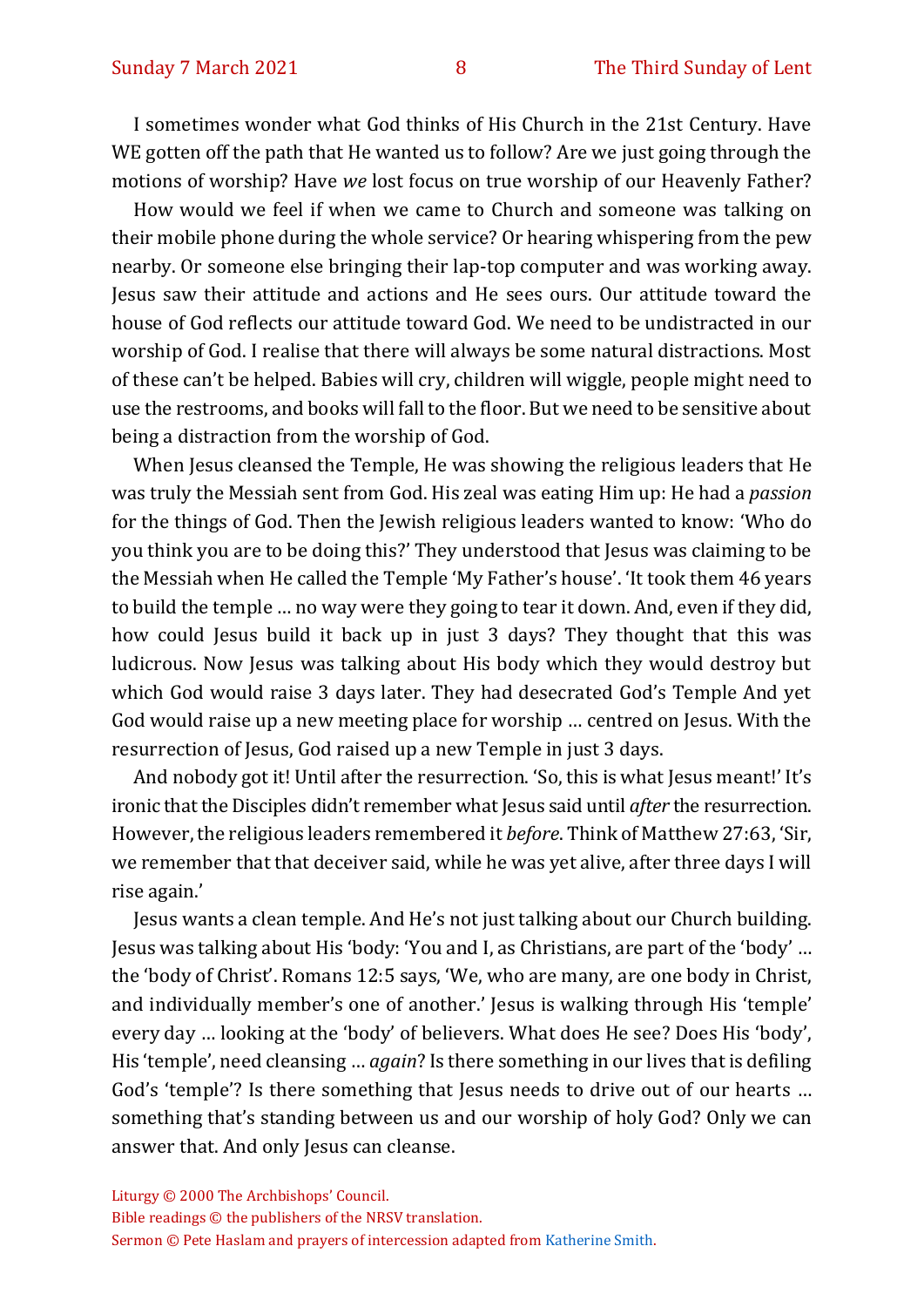I sometimes wonder what God thinks of His Church in the 21st Century. Have WE gotten off the path that He wanted us to follow? Are we just going through the motions of worship? Have *we* lost focus on true worship of our Heavenly Father?

How would we feel if when we came to Church and someone was talking on their mobile phone during the whole service? Or hearing whispering from the pew nearby. Or someone else bringing their lap-top computer and was working away. Jesus saw their attitude and actions and He sees ours. Our attitude toward the house of God reflects our attitude toward God. We need to be undistracted in our worship of God. I realise that there will always be some natural distractions. Most of these can't be helped. Babies will cry, children will wiggle, people might need to use the restrooms, and books will fall to the floor. But we need to be sensitive about being a distraction from the worship of God.

When Jesus cleansed the Temple, He was showing the religious leaders that He was truly the Messiah sent from God. His zeal was eating Him up: He had a *passion*  for the things of God. Then the Jewish religious leaders wanted to know: 'Who do you think you are to be doing this?' They understood that Jesus was claiming to be the Messiah when He called the Temple 'My Father's house'. 'It took them 46 years to build the temple … no way were they going to tear it down. And, even if they did, how could Jesus build it back up in just 3 days? They thought that this was ludicrous. Now Jesus was talking about His body which they would destroy but which God would raise 3 days later. They had desecrated God's Temple And yet God would raise up a new meeting place for worship … centred on Jesus. With the resurrection of Jesus, God raised up a new Temple in just 3 days.

And nobody got it! Until after the resurrection. 'So, this is what Jesus meant!' It's ironic that the Disciples didn't remember what Jesus said until *after* the resurrection. However, the religious leaders remembered it *before*. Think of Matthew 27:63, 'Sir, we remember that that deceiver said, while he was yet alive, after three days I will rise again.'

Jesus wants a clean temple. And He's not just talking about our Church building. Jesus was talking about His 'body: 'You and I, as Christians, are part of the 'body' … the 'body of Christ'. Romans 12:5 says, 'We, who are many, are one body in Christ, and individually member's one of another.' Jesus is walking through His 'temple' every day … looking at the 'body' of believers. What does He see? Does His 'body', His 'temple', need cleansing … *again*? Is there something in our lives that is defiling God's 'temple'? Is there something that Jesus needs to drive out of our hearts … something that's standing between us and our worship of holy God? Only we can answer that. And only Jesus can cleanse.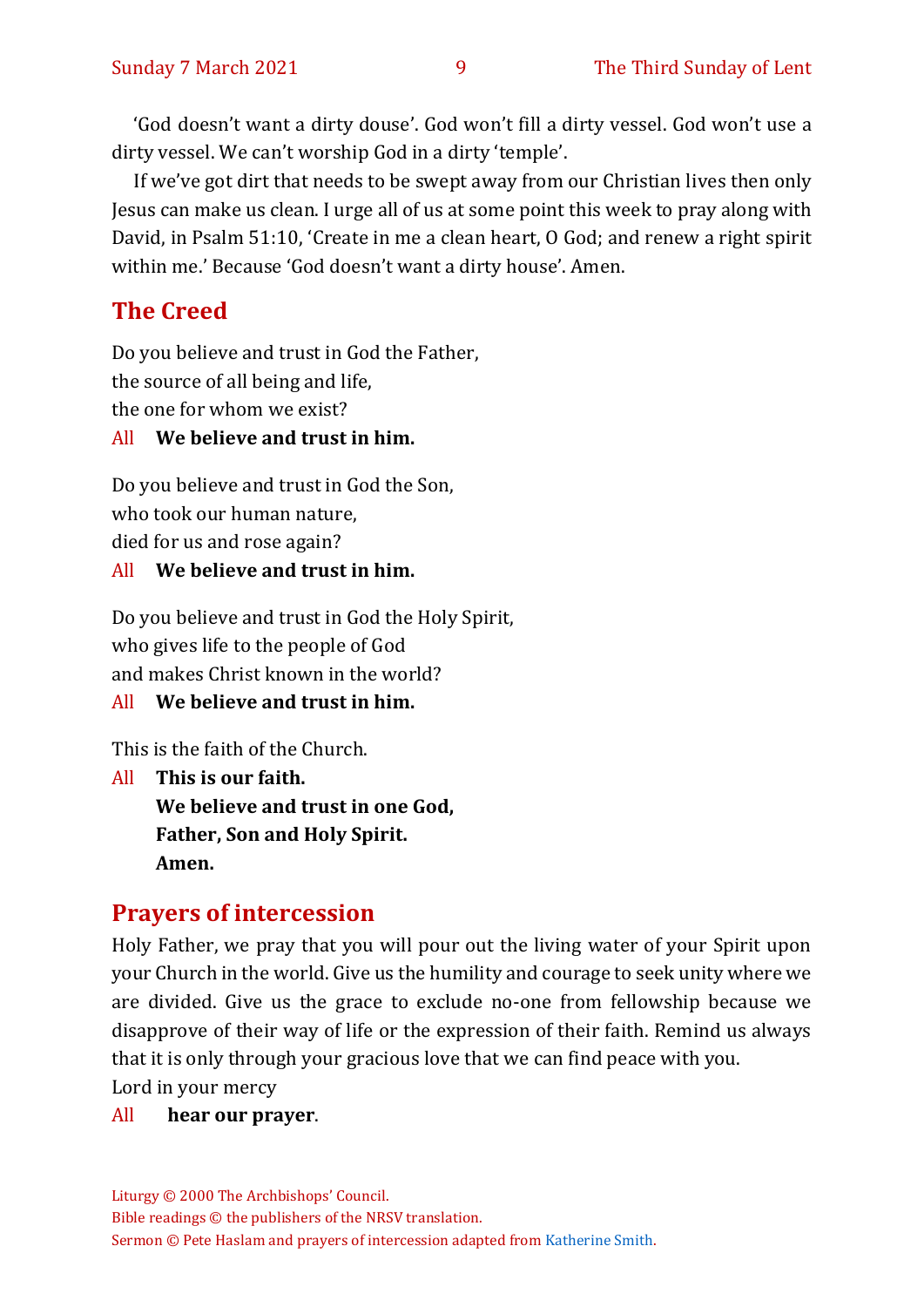'God doesn't want a dirty douse'. God won't fill a dirty vessel. God won't use a dirty vessel. We can't worship God in a dirty 'temple'.

If we've got dirt that needs to be swept away from our Christian lives then only Jesus can make us clean. I urge all of us at some point this week to pray along with David, in Psalm 51:10, 'Create in me a clean heart, O God; and renew a right spirit within me.' Because 'God doesn't want a dirty house'. Amen.

# **The Creed**

Do you believe and trust in God the Father, the source of all being and life, the one for whom we exist? All **We believe and trust in him.**

Do you believe and trust in God the Son, who took our human nature, died for us and rose again?

#### All **We believe and trust in him.**

Do you believe and trust in God the Holy Spirit, who gives life to the people of God and makes Christ known in the world?

All **We believe and trust in him.**

This is the faith of the Church.

All **This is our faith. We believe and trust in one God, Father, Son and Holy Spirit. Amen.**

#### **Prayers of intercession**

Holy Father, we pray that you will pour out the living water of your Spirit upon your Church in the world. Give us the humility and courage to seek unity where we are divided. Give us the grace to exclude no-one from fellowship because we disapprove of their way of life or the expression of their faith. Remind us always that it is only through your gracious love that we can find peace with you.

Lord in your mercy

#### All **hear our prayer**.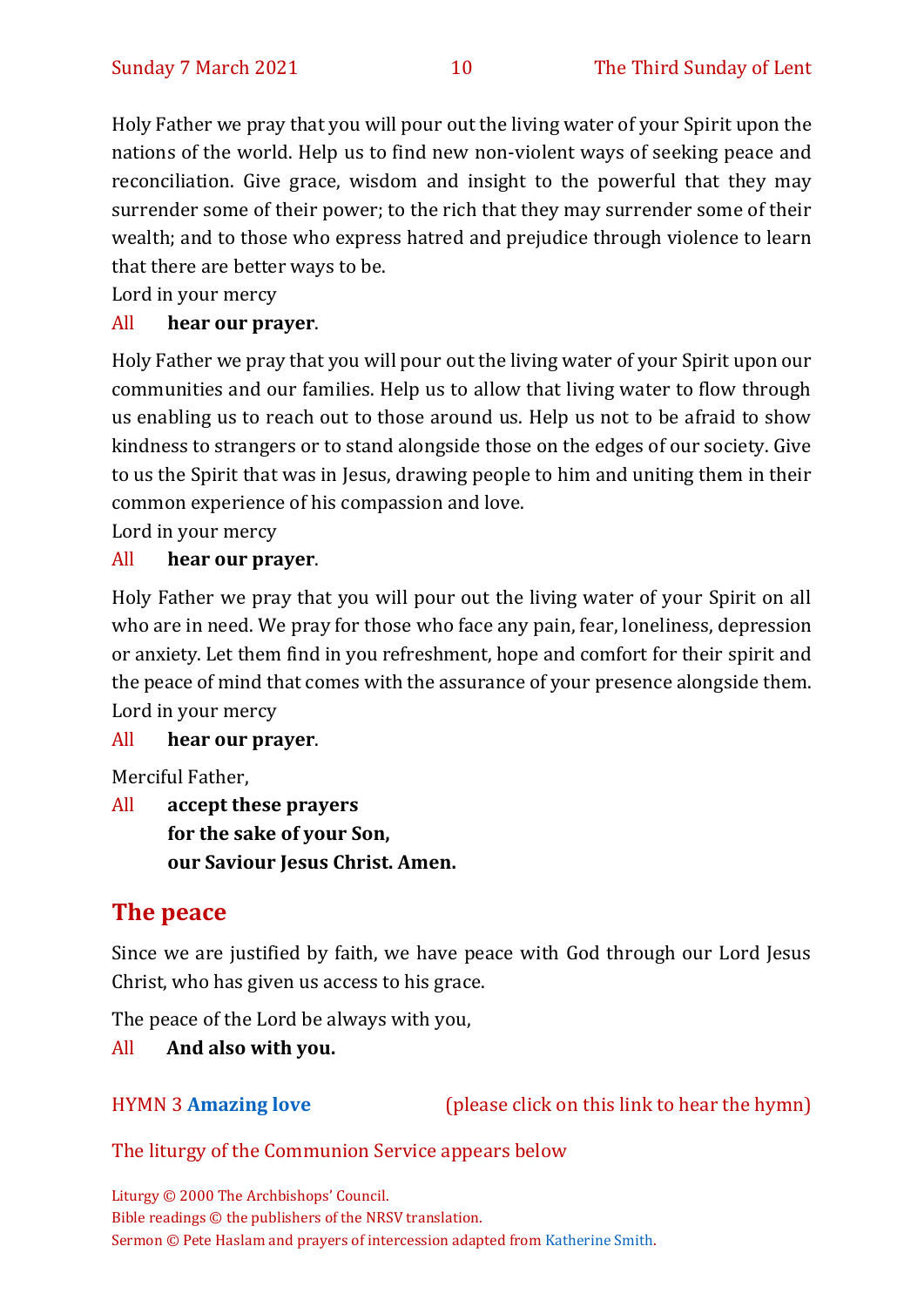Holy Father we pray that you will pour out the living water of your Spirit upon the nations of the world. Help us to find new non-violent ways of seeking peace and reconciliation. Give grace, wisdom and insight to the powerful that they may surrender some of their power; to the rich that they may surrender some of their wealth; and to those who express hatred and prejudice through violence to learn that there are better ways to be.

Lord in your mercy

#### All **hear our prayer**.

Holy Father we pray that you will pour out the living water of your Spirit upon our communities and our families. Help us to allow that living water to flow through us enabling us to reach out to those around us. Help us not to be afraid to show kindness to strangers or to stand alongside those on the edges of our society. Give to us the Spirit that was in Jesus, drawing people to him and uniting them in their common experience of his compassion and love.

Lord in your mercy

#### All **hear our prayer**.

Holy Father we pray that you will pour out the living water of your Spirit on all who are in need. We pray for those who face any pain, fear, loneliness, depression or anxiety. Let them find in you refreshment, hope and comfort for their spirit and the peace of mind that comes with the assurance of your presence alongside them. Lord in your mercy

#### All **hear our prayer**.

Merciful Father,

All **accept these prayers for the sake of your Son, our Saviour Jesus Christ. Amen.**

# **The peace**

Since we are justified by faith, we have peace with God through our Lord Jesus Christ, who has given us access to his grace.

The peace of the Lord be always with you,

#### All **And also with you.**

HYMN 3 **[Amazing love](https://www.youtube.com/watch?v=ItR0E1lg7lY)** (please click on this link to hear the hymn)

#### The liturgy of the Communion Service appears below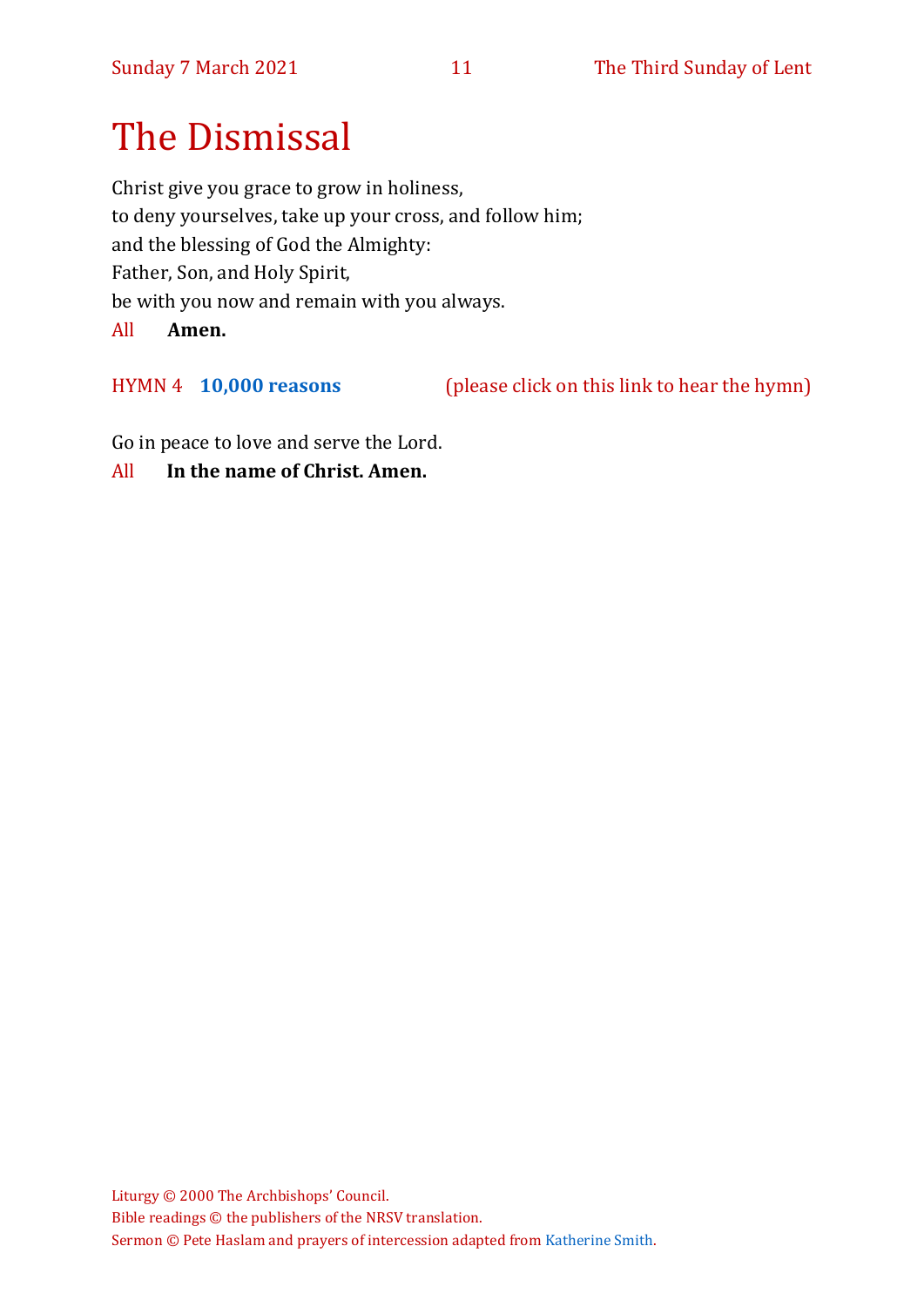# The Dismissal

Christ give you grace to grow in holiness, to deny yourselves, take up your cross, and follow him; and the blessing of God the Almighty: Father, Son, and Holy Spirit, be with you now and remain with you always. All **Amen.**

HYMN 4 **[10,000 reasons](https://www.youtube.com/watch?v=xsNDxIBVEx8)** (please click on this link to hear the hymn)

Go in peace to love and serve the Lord.

All **In the name of Christ. Amen.**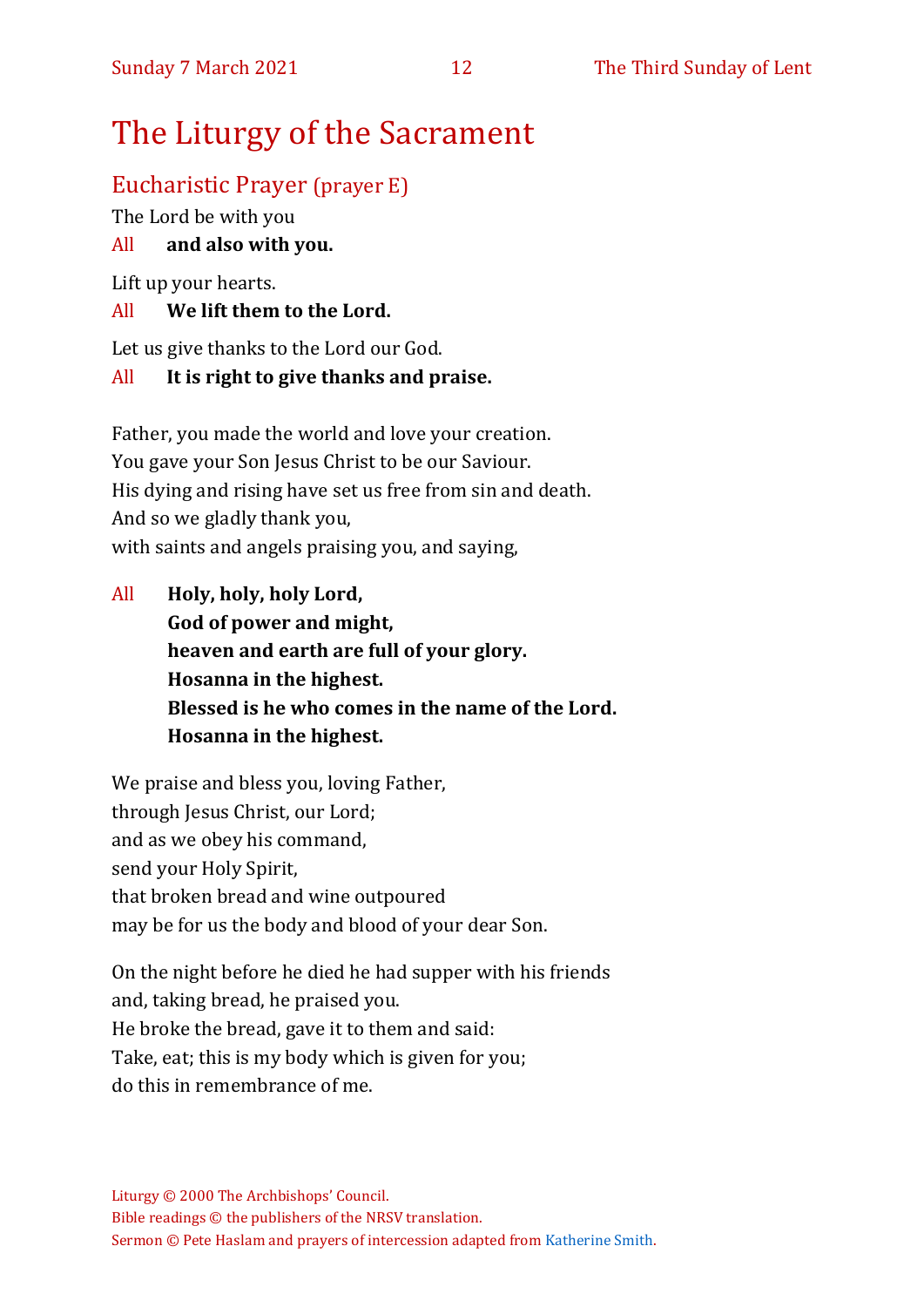# The Liturgy of the Sacrament

# Eucharistic Prayer (prayer E)

The Lord be with you

### All **and also with you.**

Lift up your hearts.

#### All **We lift them to the Lord.**

Let us give thanks to the Lord our God.

#### All **It is right to give thanks and praise.**

Father, you made the world and love your creation. You gave your Son Jesus Christ to be our Saviour. His dying and rising have set us free from sin and death. And so we gladly thank you, with saints and angels praising you, and saying,

All **Holy, holy, holy Lord, God of power and might, heaven and earth are full of your glory. Hosanna in the highest. Blessed is he who comes in the name of the Lord. Hosanna in the highest.**

We praise and bless you, loving Father, through Jesus Christ, our Lord; and as we obey his command, send your Holy Spirit, that broken bread and wine outpoured may be for us the body and blood of your dear Son.

On the night before he died he had supper with his friends and, taking bread, he praised you. He broke the bread, gave it to them and said: Take, eat; this is my body which is given for you; do this in remembrance of me.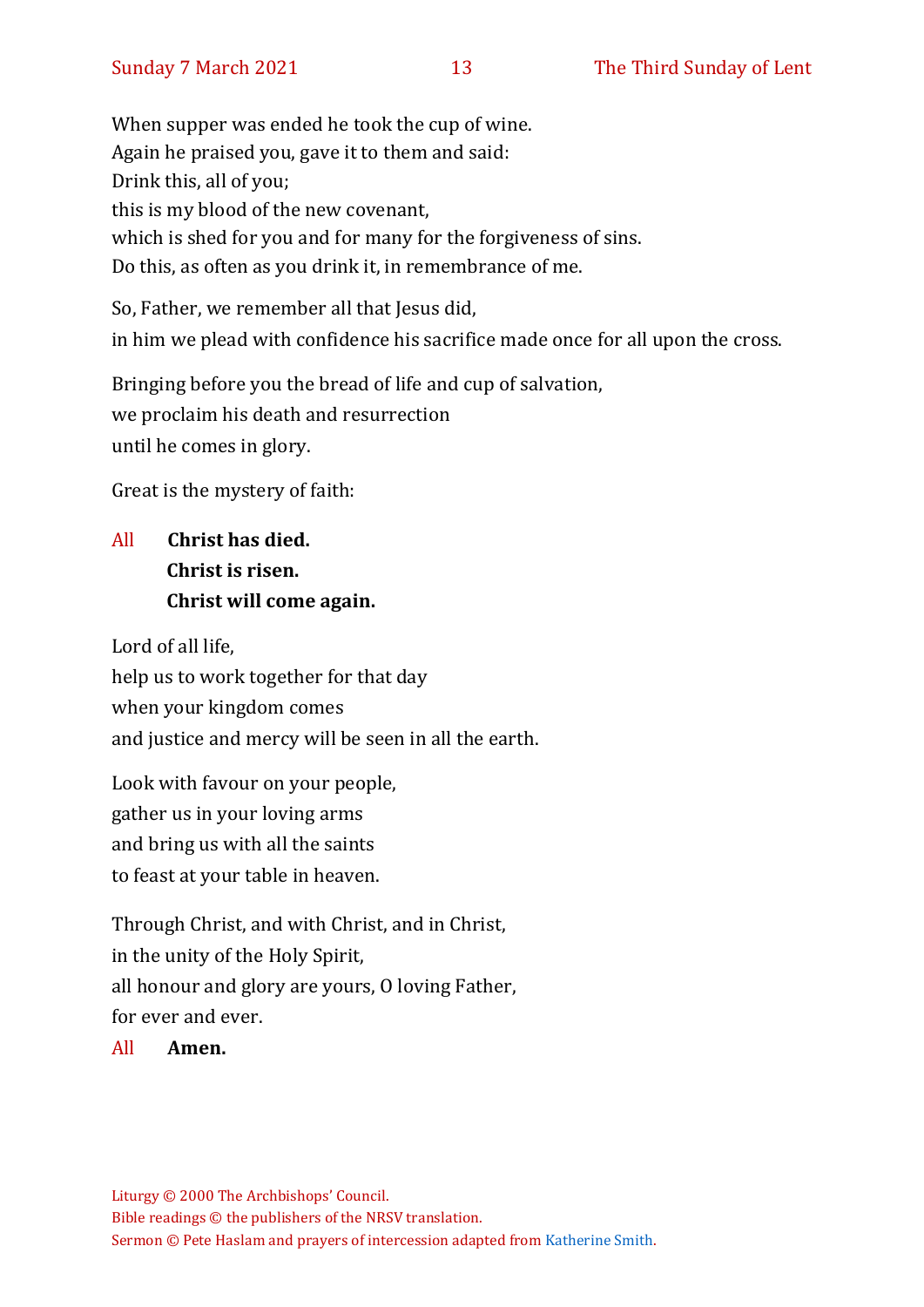When supper was ended he took the cup of wine. Again he praised you, gave it to them and said: Drink this, all of you; this is my blood of the new covenant, which is shed for you and for many for the forgiveness of sins. Do this, as often as you drink it, in remembrance of me.

So, Father, we remember all that Jesus did, in him we plead with confidence his sacrifice made once for all upon the cross.

Bringing before you the bread of life and cup of salvation, we proclaim his death and resurrection until he comes in glory.

Great is the mystery of faith:

# All **Christ has died. Christ is risen. Christ will come again.**

Lord of all life, help us to work together for that day when your kingdom comes and justice and mercy will be seen in all the earth.

Look with favour on your people, gather us in your loving arms and bring us with all the saints to feast at your table in heaven.

Through Christ, and with Christ, and in Christ, in the unity of the Holy Spirit, all honour and glory are yours, O loving Father, for ever and ever.

All **Amen.**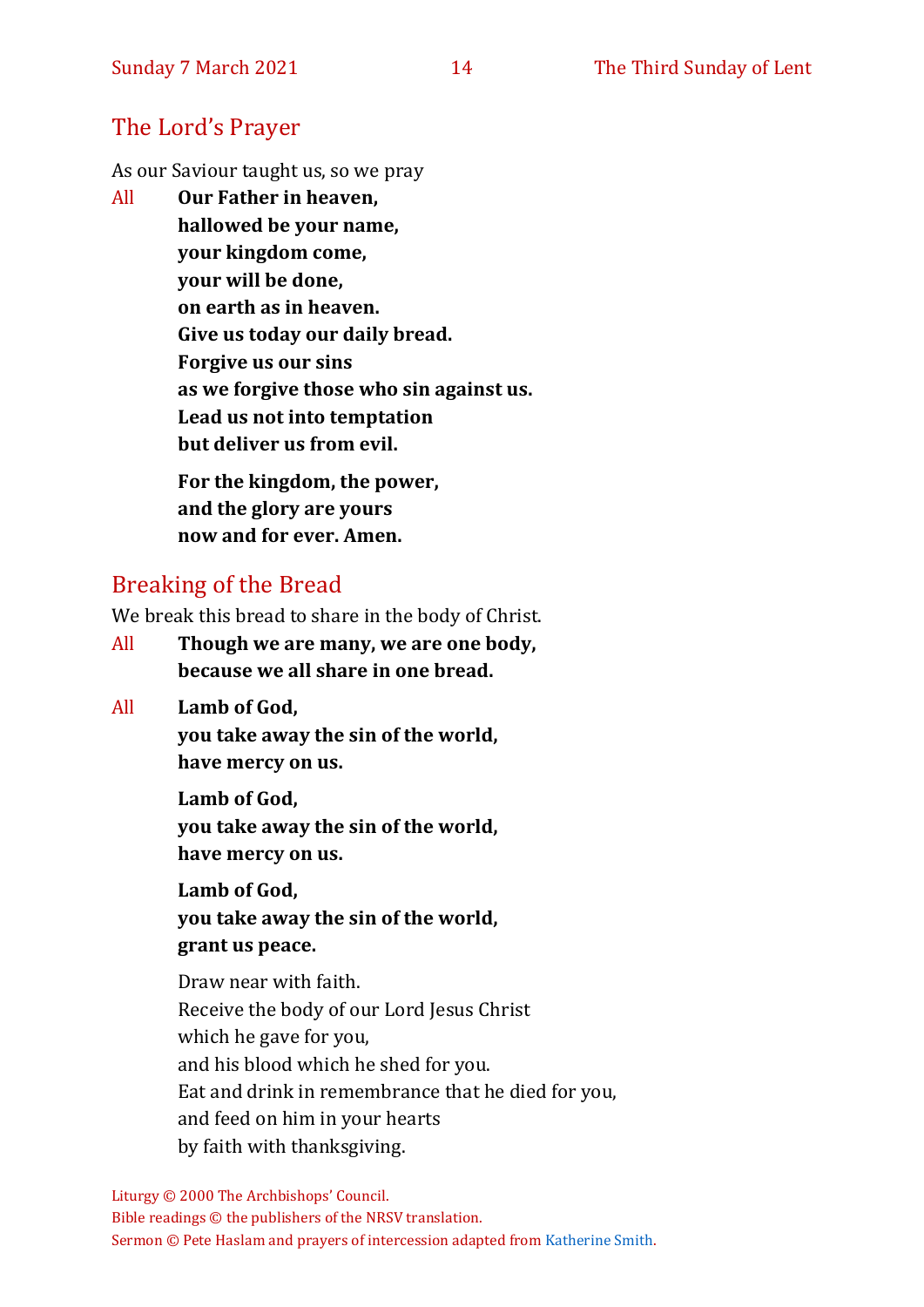# The Lord's Prayer

As our Saviour taught us, so we pray

All **Our Father in heaven, hallowed be your name, your kingdom come, your will be done, on earth as in heaven. Give us today our daily bread. Forgive us our sins as we forgive those who sin against us. Lead us not into temptation but deliver us from evil. For the kingdom, the power,** 

**and the glory are yours now and for ever. Amen.**

# Breaking of the Bread

We break this bread to share in the body of Christ.

- All **Though we are many, we are one body, because we all share in one bread.**
- All **Lamb of God,**

**you take away the sin of the world, have mercy on us.**

**Lamb of God, you take away the sin of the world, have mercy on us.**

**Lamb of God, you take away the sin of the world, grant us peace.**

Draw near with faith. Receive the body of our Lord Jesus Christ which he gave for you, and his blood which he shed for you. Eat and drink in remembrance that he died for you, and feed on him in your hearts by faith with thanksgiving.